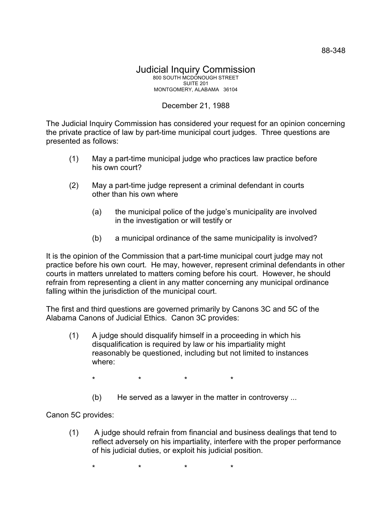## December 21, 1988

The Judicial Inquiry Commission has considered your request for an opinion concerning the private practice of law by part-time municipal court judges. Three questions are presented as follows:

- (1) May a part-time municipal judge who practices law practice before his own court?
- (2) May a part-time judge represent a criminal defendant in courts other than his own where
	- (a) the municipal police of the judge's municipality are involved in the investigation or will testify or
	- (b) a municipal ordinance of the same municipality is involved?

It is the opinion of the Commission that a part-time municipal court judge may not practice before his own court. He may, however, represent criminal defendants in other courts in matters unrelated to matters coming before his court. However, he should refrain from representing a client in any matter concerning any municipal ordinance falling within the jurisdiction of the municipal court.

The first and third questions are governed primarily by Canons 3C and 5C of the Alabama Canons of Judicial Ethics. Canon 3C provides:

- (1) A judge should disqualify himself in a proceeding in which his disqualification is required by law or his impartiality might reasonably be questioned, including but not limited to instances where:
	- \* \* \* \*
	- (b) He served as a lawyer in the matter in controversy ...

Canon 5C provides:

(1) A judge should refrain from financial and business dealings that tend to reflect adversely on his impartiality, interfere with the proper performance of his judicial duties, or exploit his judicial position.

\* \* \* \*